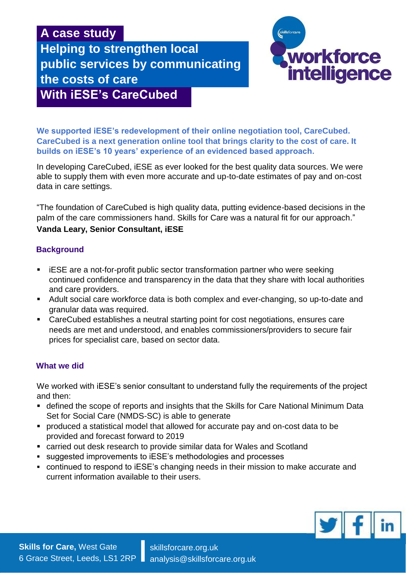# **A case study**

**Helping to strengthen local public services by communicating the costs of care With iESE's CareCubed**



**We supported iESE's redevelopment of their online negotiation tool, CareCubed. CareCubed is a next generation online tool that brings clarity to the cost of care. It builds on iESE's 10 years' experience of an evidenced based approach.** 

In developing CareCubed, iESE as ever looked for the best quality data sources. We were able to supply them with even more accurate and up-to-date estimates of pay and on-cost data in care settings.

"The foundation of CareCubed is high quality data, putting evidence-based decisions in the palm of the care commissioners hand. Skills for Care was a natural fit for our approach."

## **Vanda Leary, Senior Consultant, iESE**

### **Background**

- iESE are a not-for-profit public sector transformation partner who were seeking continued confidence and transparency in the data that they share with local authorities and care providers.
- Adult social care workforce data is both complex and ever-changing, so up-to-date and granular data was required.
- CareCubed establishes a neutral starting point for cost negotiations, ensures care needs are met and understood, and enables commissioners/providers to secure fair prices for specialist care, based on sector data.

#### **What we did**

We worked with iESE's senior consultant to understand fully the requirements of the project and then:

- defined the scope of reports and insights that the Skills for Care National Minimum Data Set for Social Care (NMDS-SC) is able to generate
- produced a statistical model that allowed for accurate pay and on-cost data to be provided and forecast forward to 2019
- carried out desk research to provide similar data for Wales and Scotland
- suggested improvements to iESE's methodologies and processes
- continued to respond to iESE's changing needs in their mission to make accurate and current information available to their users.